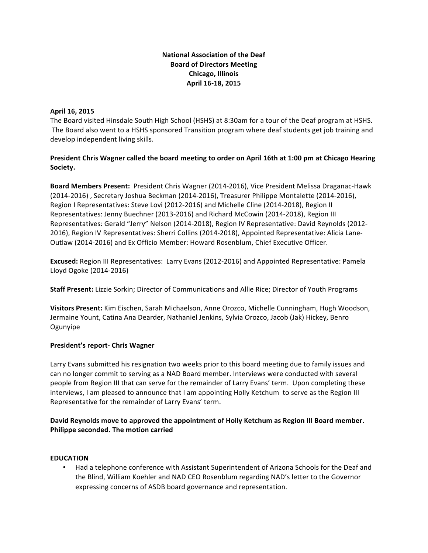## **National Association of the Deaf Board of Directors Meeting Chicago, Illinois April 16-18, 2015**

### **April 16, 2015**

The Board visited Hinsdale South High School (HSHS) at 8:30am for a tour of the Deaf program at HSHS. The Board also went to a HSHS sponsored Transition program where deaf students get job training and develop independent living skills.

## President Chris Wagner called the board meeting to order on April 16th at 1:00 pm at Chicago Hearing **Society.**

**Board Members Present:** President Chris Wagner (2014-2016), Vice President Melissa Draganac-Hawk (2014-2016) , Secretary Joshua Beckman (2014-2016), Treasurer Philippe Montalette (2014-2016), Region I Representatives: Steve Lovi (2012-2016) and Michelle Cline (2014-2018), Region II Representatives: Jenny Buechner (2013-2016) and Richard McCowin (2014-2018), Region III Representatives: Gerald "Jerry" Nelson (2014-2018), Region IV Representative: David Reynolds (2012-2016), Region IV Representatives: Sherri Collins (2014-2018), Appointed Representative: Alicia Lane-Outlaw (2014-2016) and Ex Officio Member: Howard Rosenblum, Chief Executive Officer.

**Excused:** Region III Representatives: Larry Evans (2012-2016) and Appointed Representative: Pamela Lloyd Ogoke (2014-2016)

**Staff Present:** Lizzie Sorkin; Director of Communications and Allie Rice; Director of Youth Programs

**Visitors Present:** Kim Eischen, Sarah Michaelson, Anne Orozco, Michelle Cunningham, Hugh Woodson, Jermaine Yount, Catina Ana Dearder, Nathaniel Jenkins, Sylvia Orozco, Jacob (Jak) Hickey, Benro Ogunyipe 

### **President's report- Chris Wagner**

Larry Evans submitted his resignation two weeks prior to this board meeting due to family issues and can no longer commit to serving as a NAD Board member. Interviews were conducted with several people from Region III that can serve for the remainder of Larry Evans' term. Upon completing these interviews, I am pleased to announce that I am appointing Holly Ketchum to serve as the Region III Representative for the remainder of Larry Evans' term.

# David Reynolds move to approved the appointment of Holly Ketchum as Region III Board member. **Philippe seconded. The motion carried**

### **EDUCATION**

• Had a telephone conference with Assistant Superintendent of Arizona Schools for the Deaf and the Blind, William Koehler and NAD CEO Rosenblum regarding NAD's letter to the Governor expressing concerns of ASDB board governance and representation.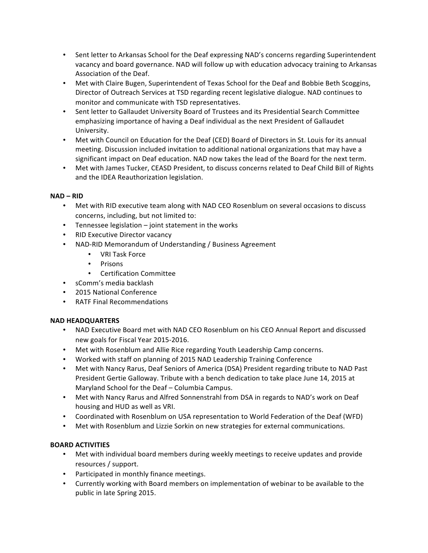- Sent letter to Arkansas School for the Deaf expressing NAD's concerns regarding Superintendent vacancy and board governance. NAD will follow up with education advocacy training to Arkansas Association of the Deaf.
- Met with Claire Bugen, Superintendent of Texas School for the Deaf and Bobbie Beth Scoggins, Director of Outreach Services at TSD regarding recent legislative dialogue. NAD continues to monitor and communicate with TSD representatives.
- Sent letter to Gallaudet University Board of Trustees and its Presidential Search Committee emphasizing importance of having a Deaf individual as the next President of Gallaudet University.
- Met with Council on Education for the Deaf (CED) Board of Directors in St. Louis for its annual meeting. Discussion included invitation to additional national organizations that may have a significant impact on Deaf education. NAD now takes the lead of the Board for the next term.
- Met with James Tucker, CEASD President, to discuss concerns related to Deaf Child Bill of Rights and the IDEA Reauthorization legislation.

### **NAD – RID**

- Met with RID executive team along with NAD CEO Rosenblum on several occasions to discuss concerns, including, but not limited to:
- Tennessee legislation  $-$  joint statement in the works
- RID Executive Director vacancy
- NAD-RID Memorandum of Understanding / Business Agreement
	- VRI Task Force
	- Prisons
	- Certification Committee
- sComm's media backlash
- 2015 National Conference
- RATF Final Recommendations

# **NAD HEADQUARTERS**

- NAD Executive Board met with NAD CEO Rosenblum on his CEO Annual Report and discussed new goals for Fiscal Year 2015-2016.
- Met with Rosenblum and Allie Rice regarding Youth Leadership Camp concerns.
- Worked with staff on planning of 2015 NAD Leadership Training Conference
- Met with Nancy Rarus, Deaf Seniors of America (DSA) President regarding tribute to NAD Past President Gertie Galloway. Tribute with a bench dedication to take place June 14, 2015 at Maryland School for the Deaf - Columbia Campus.
- Met with Nancy Rarus and Alfred Sonnenstrahl from DSA in regards to NAD's work on Deaf housing and HUD as well as VRI.
- Coordinated with Rosenblum on USA representation to World Federation of the Deaf (WFD)
- Met with Rosenblum and Lizzie Sorkin on new strategies for external communications.

# **BOARD ACTIVITIES**

- Met with individual board members during weekly meetings to receive updates and provide resources / support.
- Participated in monthly finance meetings.
- Currently working with Board members on implementation of webinar to be available to the public in late Spring 2015.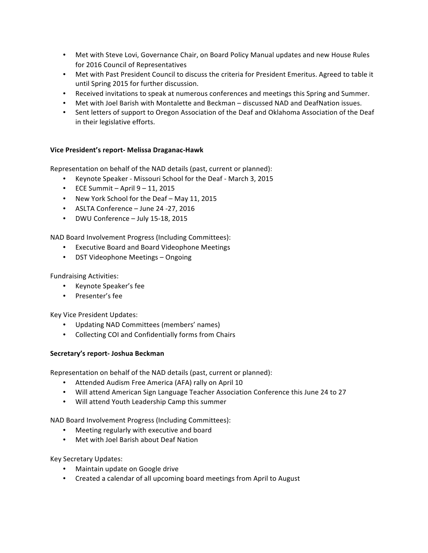- Met with Steve Lovi, Governance Chair, on Board Policy Manual updates and new House Rules for 2016 Council of Representatives
- Met with Past President Council to discuss the criteria for President Emeritus. Agreed to table it until Spring 2015 for further discussion.
- Received invitations to speak at numerous conferences and meetings this Spring and Summer.
- Met with Joel Barish with Montalette and Beckman discussed NAD and DeafNation issues.
- Sent letters of support to Oregon Association of the Deaf and Oklahoma Association of the Deaf in their legislative efforts.

### **Vice President's report- Melissa Draganac-Hawk**

Representation on behalf of the NAD details (past, current or planned):

- Keynote Speaker Missouri School for the Deaf March 3, 2015
- $\cdot$  ECE Summit April  $9 11$ , 2015
- New York School for the Deaf May 11, 2015
- ASLTA Conference June 24 -27, 2016
- DWU Conference July 15-18, 2015

NAD Board Involvement Progress (Including Committees):

- Executive Board and Board Videophone Meetings
- DST Videophone Meetings Ongoing

Fundraising Activities:

- Keynote Speaker's fee
- Presenter's fee

Key Vice President Updates:

- Updating NAD Committees (members' names)
- Collecting COI and Confidentially forms from Chairs

### **Secretary's report- Joshua Beckman**

Representation on behalf of the NAD details (past, current or planned):

- Attended Audism Free America (AFA) rally on April 10
- Will attend American Sign Language Teacher Association Conference this June 24 to 27
- Will attend Youth Leadership Camp this summer

NAD Board Involvement Progress (Including Committees):

- Meeting regularly with executive and board
- Met with Joel Barish about Deaf Nation

Key Secretary Updates:

- Maintain update on Google drive
- Created a calendar of all upcoming board meetings from April to August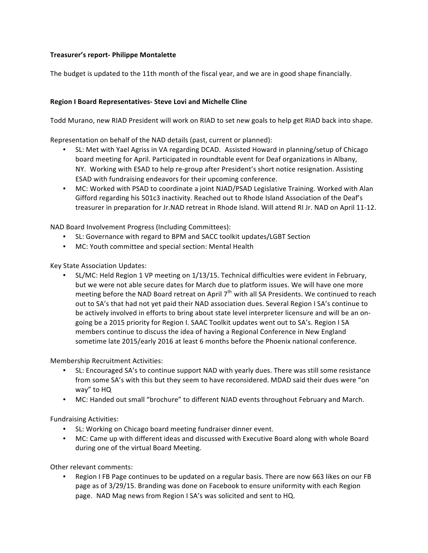## **Treasurer's report- Philippe Montalette**

The budget is updated to the 11th month of the fiscal year, and we are in good shape financially.

### **Region I Board Representatives- Steve Lovi and Michelle Cline**

Todd Murano, new RIAD President will work on RIAD to set new goals to help get RIAD back into shape.

Representation on behalf of the NAD details (past, current or planned):

- SL: Met with Yael Agriss in VA regarding DCAD. Assisted Howard in planning/setup of Chicago board meeting for April. Participated in roundtable event for Deaf organizations in Albany, NY. Working with ESAD to help re-group after President's short notice resignation. Assisting ESAD with fundraising endeavors for their upcoming conference.
- MC: Worked with PSAD to coordinate a joint NJAD/PSAD Legislative Training. Worked with Alan Gifford regarding his 501c3 inactivity. Reached out to Rhode Island Association of the Deaf's treasurer in preparation for Jr.NAD retreat in Rhode Island. Will attend RI Jr. NAD on April 11-12.

NAD Board Involvement Progress (Including Committees):

- SL: Governance with regard to BPM and SACC toolkit updates/LGBT Section
- MC: Youth committee and special section: Mental Health

Key State Association Updates:

SL/MC: Held Region 1 VP meeting on 1/13/15. Technical difficulties were evident in February, but we were not able secure dates for March due to platform issues. We will have one more meeting before the NAD Board retreat on April  $7<sup>th</sup>$  with all SA Presidents. We continued to reach out to SA's that had not yet paid their NAD association dues. Several Region I SA's continue to be actively involved in efforts to bring about state level interpreter licensure and will be an ongoing be a 2015 priority for Region I. SAAC Toolkit updates went out to SA's. Region I SA members continue to discuss the idea of having a Regional Conference in New England sometime late 2015/early 2016 at least 6 months before the Phoenix national conference.

Membership Recruitment Activities:

- SL: Encouraged SA's to continue support NAD with yearly dues. There was still some resistance from some SA's with this but they seem to have reconsidered. MDAD said their dues were "on way" to HQ
- MC: Handed out small "brochure" to different NJAD events throughout February and March.

Fundraising Activities:

- SL: Working on Chicago board meeting fundraiser dinner event.
- MC: Came up with different ideas and discussed with Executive Board along with whole Board during one of the virtual Board Meeting.

Other relevant comments:

Region I FB Page continues to be updated on a regular basis. There are now 663 likes on our FB page as of 3/29/15. Branding was done on Facebook to ensure uniformity with each Region page. NAD Mag news from Region I SA's was solicited and sent to HQ.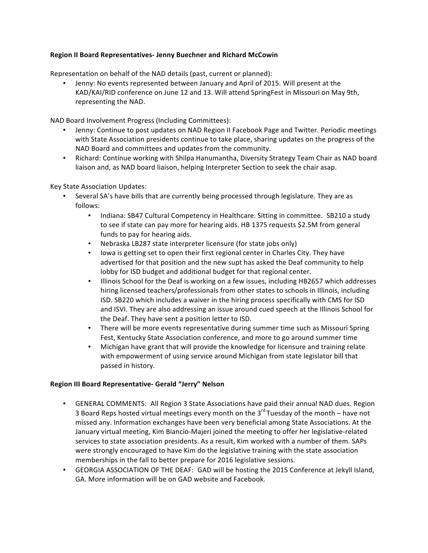### **Region II Board Representatives- Jenny Buechner and Richard McCowin**

Representation on behalf of the NAD details (past, current or planned):

Jenny: No events represented between January and April of 2015. Will present at the KAD/KAI/RID conference on June 12 and 13. Will attend SpringFest in Missouri on May 9th, representing the NAD.

NAD Board Involvement Progress (Including Committees):

- Jenny: Continue to post updates on NAD Region II Facebook Page and Twitter. Periodic meetings with State Association presidents continue to take place, sharing updates on the progress of the NAD Board and committees and updates from the community.
- Richard: Continue working with Shilpa Hanumantha, Diversity Strategy Team Chair as NAD board liaison and, as NAD board liaison, helping Interpreter Section to seek the chair asap.

Key State Association Updates:

- Several SA's have bills that are currently being processed through legislature. They are as follows:
	- Indiana: SB47 Cultural Competency in Healthcare. Sitting in committee. SB210 a study to see if state can pay more for hearing aids. HB 1375 requests \$2.5M from general funds to pay for hearing aids.
	- Nebraska LB287 state interpreter licensure (for state jobs only)
	- Iowa is getting set to open their first regional center in Charles City. They have advertised for that position and the new supt has asked the Deaf community to help lobby for ISD budget and additional budget for that regional center.
	- Illinois School for the Deaf is working on a few issues, including HB2657 which addresses hiring licensed teachers/professionals from other states to schools in Illinois, including ISD. SB220 which includes a waiver in the hiring process specifically with CMS for ISD and ISVI. They are also addressing an issue around cued speech at the Illinois School for the Deaf. They have sent a position letter to ISD.
	- There will be more events representative during summer time such as Missouri Spring Fest, Kentucky State Association conference, and more to go around summer time
	- Michigan have grant that will provide the knowledge for licensure and training relate with empowerment of using service around Michigan from state legislator bill that passed in history.

### **Region III Board Representative- Gerald "Jerry" Nelson**

- GENERAL COMMENTS: All Region 3 State Associations have paid their annual NAD dues. Region 3 Board Reps hosted virtual meetings every month on the  $3<sup>rd</sup>$  Tuesday of the month – have not missed any. Information exchanges have been very beneficial among State Associations. At the January virtual meeting, Kim Biancio-Majeri joined the meeting to offer her legislative-related services to state association presidents. As a result, Kim worked with a number of them. SAPs were strongly encouraged to have Kim do the legislative training with the state association memberships in the fall to better prepare for 2016 legislative sessions.
- GEORGIA ASSOCIATION OF THE DEAF: GAD will be hosting the 2015 Conference at Jekyll Island, GA. More information will be on GAD website and Facebook.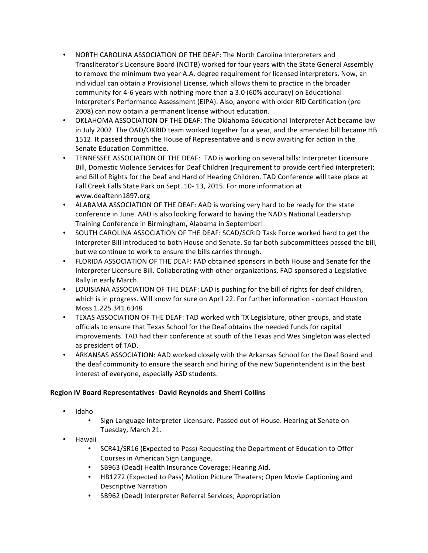- NORTH CAROLINA ASSOCIATION OF THE DEAF: The North Carolina Interpreters and Transliterator's Licensure Board (NCITB) worked for four years with the State General Assembly to remove the minimum two year A.A. degree requirement for licensed interpreters. Now, an individual can obtain a Provisional License, which allows them to practice in the broader community for 4-6 years with nothing more than a 3.0 (60% accuracy) on Educational Interpreter's Performance Assessment (EIPA). Also, anyone with older RID Certification (pre 2008) can now obtain a permanent license without education.
- OKLAHOMA ASSOCIATION OF THE DEAF: The Oklahoma Educational Interpreter Act became law in July 2002. The OAD/OKRID team worked together for a year, and the amended bill became HB 1512. It passed through the House of Representative and is now awaiting for action in the Senate Education Committee.
- TENNESSEE ASSOCIATION OF THE DEAF: TAD is working on several bills: Interpreter Licensure Bill, Domestic Violence Services for Deaf Children (requirement to provide certified interpreter); and Bill of Rights for the Deaf and Hard of Hearing Children. TAD Conference will take place at Fall Creek Falls State Park on Sept. 10-13, 2015. For more information at www.deaftenn1897.org
- ALABAMA ASSOCIATION OF THE DEAF: AAD is working very hard to be ready for the state conference in June. AAD is also looking forward to having the NAD's National Leadership Training Conference in Birmingham, Alabama in September!
- SOUTH CAROLINA ASSOCIATION OF THE DEAF: SCAD/SCRID Task Force worked hard to get the Interpreter Bill introduced to both House and Senate. So far both subcommittees passed the bill, but we continue to work to ensure the bills carries through.
- FLORIDA ASSOCIATION OF THE DEAF: FAD obtained sponsors in both House and Senate for the Interpreter Licensure Bill. Collaborating with other organizations, FAD sponsored a Legislative Rally in early March.
- LOUISIANA ASSOCIATION OF THE DEAF: LAD is pushing for the bill of rights for deaf children, which is in progress. Will know for sure on April 22. For further information - contact Houston Moss 1.225.341.6348
- TEXAS ASSOCIATION OF THE DEAF: TAD worked with TX Legislature, other groups, and state officials to ensure that Texas School for the Deaf obtains the needed funds for capital improvements. TAD had their conference at south of the Texas and Wes Singleton was elected as president of TAD.
- ARKANSAS ASSOCIATION: AAD worked closely with the Arkansas School for the Deaf Board and the deaf community to ensure the search and hiring of the new Superintendent is in the best interest of everyone, especially ASD students.

# **Region IV Board Representatives- David Reynolds and Sherri Collins**

- Idaho
	- Sign Language Interpreter Licensure. Passed out of House. Hearing at Senate on Tuesday, March 21.
- Hawaii
	- SCR41/SR16 (Expected to Pass) Requesting the Department of Education to Offer Courses in American Sign Language.
	- SB963 (Dead) Health Insurance Coverage: Hearing Aid.
	- HB1272 (Expected to Pass) Motion Picture Theaters; Open Movie Captioning and Descriptive Narration
	- SB962 (Dead) Interpreter Referral Services; Appropriation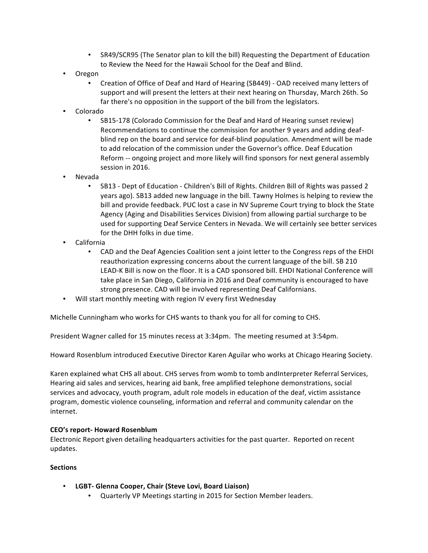- SR49/SCR95 (The Senator plan to kill the bill) Requesting the Department of Education to Review the Need for the Hawaii School for the Deaf and Blind.
- Oregon
	- Creation of Office of Deaf and Hard of Hearing (SB449) OAD received many letters of support and will present the letters at their next hearing on Thursday, March 26th. So far there's no opposition in the support of the bill from the legislators.
- Colorado
	- SB15-178 (Colorado Commission for the Deaf and Hard of Hearing sunset review) Recommendations to continue the commission for another 9 years and adding deafblind rep on the board and service for deaf-blind population. Amendment will be made to add relocation of the commission under the Governor's office. Deaf Education Reform -- ongoing project and more likely will find sponsors for next general assembly session in 2016.
- Nevada
	- SB13 Dept of Education Children's Bill of Rights. Children Bill of Rights was passed 2 years ago). SB13 added new language in the bill. Tawny Holmes is helping to review the bill and provide feedback. PUC lost a case in NV Supreme Court trying to block the State Agency (Aging and Disabilities Services Division) from allowing partial surcharge to be used for supporting Deaf Service Centers in Nevada. We will certainly see better services for the DHH folks in due time.
- California
	- CAD and the Deaf Agencies Coalition sent a joint letter to the Congress reps of the EHDI reauthorization expressing concerns about the current language of the bill. SB 210 LEAD-K Bill is now on the floor. It is a CAD sponsored bill. EHDI National Conference will take place in San Diego, California in 2016 and Deaf community is encouraged to have strong presence. CAD will be involved representing Deaf Californians.
- Will start monthly meeting with region IV every first Wednesday

Michelle Cunningham who works for CHS wants to thank you for all for coming to CHS.

President Wagner called for 15 minutes recess at 3:34pm. The meeting resumed at 3:54pm.

Howard Rosenblum introduced Executive Director Karen Aguilar who works at Chicago Hearing Society.

Karen explained what CHS all about. CHS serves from womb to tomb and Interpreter Referral Services, Hearing aid sales and services, hearing aid bank, free amplified telephone demonstrations, social services and advocacy, youth program, adult role models in education of the deaf, victim assistance program, domestic violence counseling, information and referral and community calendar on the internet.

### **CEO's report- Howard Rosenblum**

Electronic Report given detailing headquarters activities for the past quarter. Reported on recent updates.

### **Sections**

- **LGBT- Glenna Cooper, Chair (Steve Lovi, Board Liaison)**
	- Quarterly VP Meetings starting in 2015 for Section Member leaders.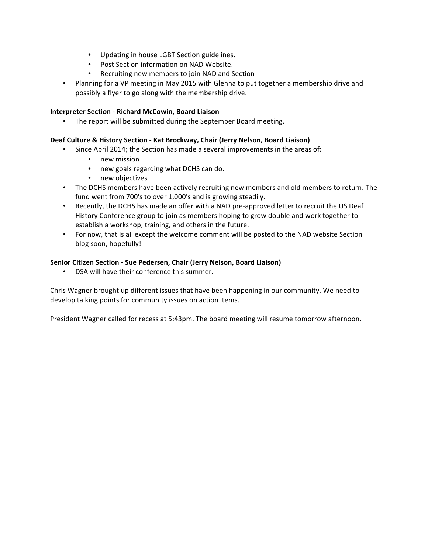- Updating in house LGBT Section guidelines.
- Post Section information on NAD Website.
- Recruiting new members to join NAD and Section
- Planning for a VP meeting in May 2015 with Glenna to put together a membership drive and possibly a flyer to go along with the membership drive.

### **Interpreter Section - Richard McCowin, Board Liaison**

• The report will be submitted during the September Board meeting.

### Deaf Culture & History Section - Kat Brockway, Chair (Jerry Nelson, Board Liaison)

- Since April 2014; the Section has made a several improvements in the areas of:
	- new mission
	- new goals regarding what DCHS can do.
	- new objectives
- The DCHS members have been actively recruiting new members and old members to return. The fund went from 700's to over 1,000's and is growing steadily.
- Recently, the DCHS has made an offer with a NAD pre-approved letter to recruit the US Deaf History Conference group to join as members hoping to grow double and work together to establish a workshop, training, and others in the future.
- For now, that is all except the welcome comment will be posted to the NAD website Section blog soon, hopefully!

### **Senior Citizen Section - Sue Pedersen, Chair (Jerry Nelson, Board Liaison)**

DSA will have their conference this summer.

Chris Wagner brought up different issues that have been happening in our community. We need to develop talking points for community issues on action items.

President Wagner called for recess at 5:43pm. The board meeting will resume tomorrow afternoon.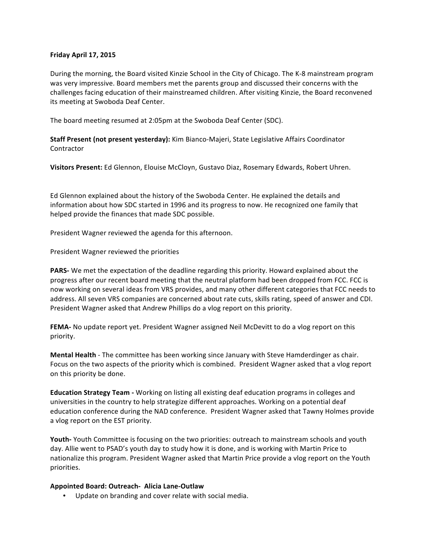#### **Friday April 17, 2015**

During the morning, the Board visited Kinzie School in the City of Chicago. The K-8 mainstream program was very impressive. Board members met the parents group and discussed their concerns with the challenges facing education of their mainstreamed children. After visiting Kinzie, the Board reconvened its meeting at Swoboda Deaf Center.

The board meeting resumed at 2:05pm at the Swoboda Deaf Center (SDC).

**Staff Present (not present yesterday):** Kim Bianco-Majeri, State Legislative Affairs Coordinator **Contractor** 

**Visitors Present:** Ed Glennon, Elouise McCloyn, Gustavo Diaz, Rosemary Edwards, Robert Uhren.

Ed Glennon explained about the history of the Swoboda Center. He explained the details and information about how SDC started in 1996 and its progress to now. He recognized one family that helped provide the finances that made SDC possible.

President Wagner reviewed the agenda for this afternoon.

President Wagner reviewed the priorities

**PARS-** We met the expectation of the deadline regarding this priority. Howard explained about the progress after our recent board meeting that the neutral platform had been dropped from FCC. FCC is now working on several ideas from VRS provides, and many other different categories that FCC needs to address. All seven VRS companies are concerned about rate cuts, skills rating, speed of answer and CDI. President Wagner asked that Andrew Phillips do a vlog report on this priority.

**FEMA-** No update report yet. President Wagner assigned Neil McDevitt to do a vlog report on this priority.

**Mental Health** - The committee has been working since January with Steve Hamderdinger as chair. Focus on the two aspects of the priority which is combined. President Wagner asked that a vlog report on this priority be done.

**Education Strategy Team -** Working on listing all existing deaf education programs in colleges and universities in the country to help strategize different approaches. Working on a potential deaf education conference during the NAD conference. President Wagner asked that Tawny Holmes provide a vlog report on the EST priority.

**Youth-** Youth Committee is focusing on the two priorities: outreach to mainstream schools and youth day. Allie went to PSAD's youth day to study how it is done, and is working with Martin Price to nationalize this program. President Wagner asked that Martin Price provide a vlog report on the Youth priorities.

#### **Appointed Board: Outreach- Alicia Lane-Outlaw**

• Update on branding and cover relate with social media.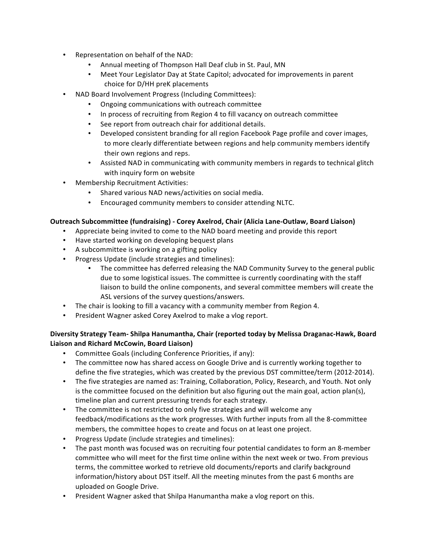- Representation on behalf of the NAD:
	- Annual meeting of Thompson Hall Deaf club in St. Paul, MN
	- Meet Your Legislator Day at State Capitol; advocated for improvements in parent choice for D/HH preK placements
- NAD Board Involvement Progress (Including Committees):
	- Ongoing communications with outreach committee
	- In process of recruiting from Region 4 to fill vacancy on outreach committee
	- See report from outreach chair for additional details.
	- Developed consistent branding for all region Facebook Page profile and cover images, to more clearly differentiate between regions and help community members identify their own regions and reps.
	- Assisted NAD in communicating with community members in regards to technical glitch with inquiry form on website
- Membership Recruitment Activities:
	- Shared various NAD news/activities on social media.
	- Encouraged community members to consider attending NLTC.

### **Outreach Subcommittee (fundraising) - Corey Axelrod, Chair (Alicia Lane-Outlaw, Board Liaison)**

- Appreciate being invited to come to the NAD board meeting and provide this report
- Have started working on developing bequest plans
- A subcommittee is working on a gifting policy
- Progress Update (include strategies and timelines):
	- The committee has deferred releasing the NAD Community Survey to the general public due to some logistical issues. The committee is currently coordinating with the staff liaison to build the online components, and several committee members will create the ASL versions of the survey questions/answers.
- The chair is looking to fill a vacancy with a community member from Region 4.
- President Wagner asked Corey Axelrod to make a vlog report.

# Diversity Strategy Team- Shilpa Hanumantha, Chair (reported today by Melissa Draganac-Hawk, Board Liaison and Richard McCowin, Board Liaison)

- Committee Goals (including Conference Priorities, if any):
- The committee now has shared access on Google Drive and is currently working together to define the five strategies, which was created by the previous DST committee/term (2012-2014).
- The five strategies are named as: Training, Collaboration, Policy, Research, and Youth. Not only is the committee focused on the definition but also figuring out the main goal, action plan(s), timeline plan and current pressuring trends for each strategy.
- The committee is not restricted to only five strategies and will welcome any feedback/modifications as the work progresses. With further inputs from all the 8-committee members, the committee hopes to create and focus on at least one project.
- Progress Update (include strategies and timelines):
- The past month was focused was on recruiting four potential candidates to form an 8-member committee who will meet for the first time online within the next week or two. From previous terms, the committee worked to retrieve old documents/reports and clarify background information/history about DST itself. All the meeting minutes from the past 6 months are uploaded on Google Drive.
- President Wagner asked that Shilpa Hanumantha make a vlog report on this.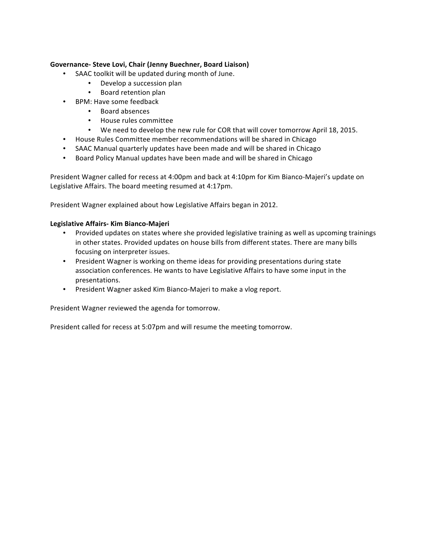### **Governance- Steve Lovi, Chair (Jenny Buechner, Board Liaison)**

- SAAC toolkit will be updated during month of June.
	- Develop a succession plan
	- Board retention plan
- BPM: Have some feedback
	- Board absences
	- House rules committee
	- We need to develop the new rule for COR that will cover tomorrow April 18, 2015.
- House Rules Committee member recommendations will be shared in Chicago
- SAAC Manual quarterly updates have been made and will be shared in Chicago
- Board Policy Manual updates have been made and will be shared in Chicago

President Wagner called for recess at 4:00pm and back at 4:10pm for Kim Bianco-Majeri's update on Legislative Affairs. The board meeting resumed at 4:17pm.

President Wagner explained about how Legislative Affairs began in 2012.

#### **Legislative Affairs- Kim Bianco-Majeri**

- Provided updates on states where she provided legislative training as well as upcoming trainings in other states. Provided updates on house bills from different states. There are many bills focusing on interpreter issues.
- President Wagner is working on theme ideas for providing presentations during state association conferences. He wants to have Legislative Affairs to have some input in the presentations.
- President Wagner asked Kim Bianco-Majeri to make a vlog report.

President Wagner reviewed the agenda for tomorrow.

President called for recess at 5:07pm and will resume the meeting tomorrow.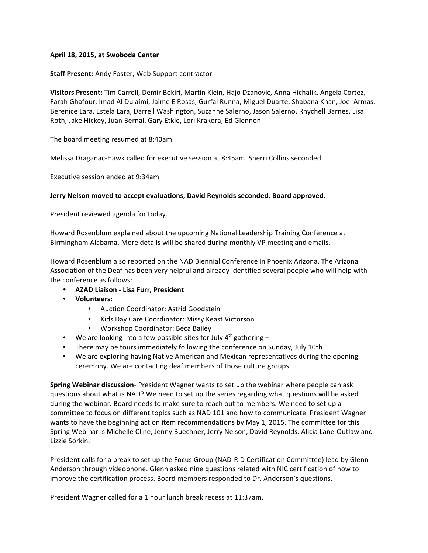### April 18, 2015, at Swoboda Center

#### **Staff Present:** Andy Foster, Web Support contractor

Visitors Present: Tim Carroll, Demir Bekiri, Martin Klein, Hajo Dzanovic, Anna Hichalik, Angela Cortez, Farah Ghafour, Imad Al Dulaimi, Jaime E Rosas, Gurfal Runna, Miguel Duarte, Shabana Khan, Joel Armas, Berenice Lara, Estela Lara, Darrell Washington, Suzanne Salerno, Jason Salerno, Rhychell Barnes, Lisa Roth, Jake Hickey, Juan Bernal, Gary Etkie, Lori Krakora, Ed Glennon

The board meeting resumed at 8:40am.

Melissa Draganac-Hawk called for executive session at 8:45am. Sherri Collins seconded.

Executive session ended at 9:34am

#### **Jerry Nelson moved to accept evaluations, David Reynolds seconded. Board approved.**

President reviewed agenda for today.

Howard Rosenblum explained about the upcoming National Leadership Training Conference at Birmingham Alabama. More details will be shared during monthly VP meeting and emails.

Howard Rosenblum also reported on the NAD Biennial Conference in Phoenix Arizona. The Arizona Association of the Deaf has been very helpful and already identified several people who will help with the conference as follows:

- **AZAD Liaison - Lisa Furr, President**
- **Volunteers:** 
	- Auction Coordinator: Astrid Goodstein
	- Kids Day Care Coordinator: Missy Keast Victorson
	- Workshop Coordinator: Beca Bailey
- We are looking into a few possible sites for July  $4^{th}$  gathering –
- There may be tours immediately following the conference on Sunday, July 10th
- We are exploring having Native American and Mexican representatives during the opening ceremony. We are contacting deaf members of those culture groups.

**Spring Webinar discussion**- President Wagner wants to set up the webinar where people can ask questions about what is NAD? We need to set up the series regarding what questions will be asked during the webinar. Board needs to make sure to reach out to members. We need to set up a committee to focus on different topics such as NAD 101 and how to communicate. President Wagner wants to have the beginning action item recommendations by May 1, 2015. The committee for this Spring Webinar is Michelle Cline, Jenny Buechner, Jerry Nelson, David Reynolds, Alicia Lane-Outlaw and Lizzie Sorkin.

President calls for a break to set up the Focus Group (NAD-RID Certification Committee) lead by Glenn Anderson through videophone. Glenn asked nine questions related with NIC certification of how to improve the certification process. Board members responded to Dr. Anderson's questions.

President Wagner called for a 1 hour lunch break recess at 11:37am.